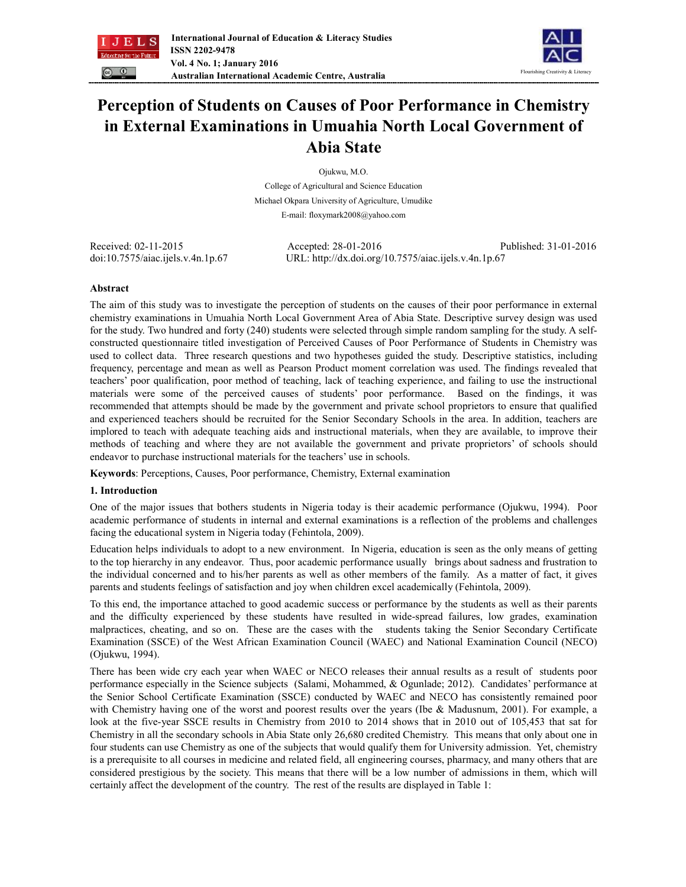



# **Perception of Students on Causes of Poor Performance in Chemistry in External Examinations in Umuahia North Local Government of Abia State**

Ojukwu, M.O.

College of Agricultural and Science Education Michael Okpara University of Agriculture, Umudike E-mail: floxymark2008@yahoo.com

Received: 02-11-2015 Accepted: 28-01-2016 Published: 31-01-2016 doi:10.7575/aiac.ijels.v.4n.1p.67 URL: http://dx.doi.org/10.7575/aiac.ijels.v.4n.1p.67

# **Abstract**

The aim of this study was to investigate the perception of students on the causes of their poor performance in external chemistry examinations in Umuahia North Local Government Area of Abia State. Descriptive survey design was used for the study. Two hundred and forty (240) students were selected through simple random sampling for the study. A selfconstructed questionnaire titled investigation of Perceived Causes of Poor Performance of Students in Chemistry was used to collect data. Three research questions and two hypotheses guided the study. Descriptive statistics, including frequency, percentage and mean as well as Pearson Product moment correlation was used. The findings revealed that teachers' poor qualification, poor method of teaching, lack of teaching experience, and failing to use the instructional materials were some of the perceived causes of students' poor performance. Based on the findings, it was recommended that attempts should be made by the government and private school proprietors to ensure that qualified and experienced teachers should be recruited for the Senior Secondary Schools in the area. In addition, teachers are implored to teach with adequate teaching aids and instructional materials, when they are available, to improve their methods of teaching and where they are not available the government and private proprietors' of schools should endeavor to purchase instructional materials for the teachers' use in schools.

**Keywords**: Perceptions, Causes, Poor performance, Chemistry, External examination

# **1. Introduction**

One of the major issues that bothers students in Nigeria today is their academic performance (Ojukwu, 1994). Poor academic performance of students in internal and external examinations is a reflection of the problems and challenges facing the educational system in Nigeria today (Fehintola, 2009).

Education helps individuals to adopt to a new environment. In Nigeria, education is seen as the only means of getting to the top hierarchy in any endeavor. Thus, poor academic performance usually brings about sadness and frustration to the individual concerned and to his/her parents as well as other members of the family. As a matter of fact, it gives parents and students feelings of satisfaction and joy when children excel academically (Fehintola, 2009).

To this end, the importance attached to good academic success or performance by the students as well as their parents and the difficulty experienced by these students have resulted in wide-spread failures, low grades, examination malpractices, cheating, and so on. These are the cases with the students taking the Senior Secondary Certificate Examination (SSCE) of the West African Examination Council (WAEC) and National Examination Council (NECO) (Ojukwu, 1994).

There has been wide cry each year when WAEC or NECO releases their annual results as a result of students poor performance especially in the Science subjects (Salami, Mohammed, & Ogunlade; 2012). Candidates' performance at the Senior School Certificate Examination (SSCE) conducted by WAEC and NECO has consistently remained poor with Chemistry having one of the worst and poorest results over the years (Ibe & Madusnum, 2001). For example, a look at the five-year SSCE results in Chemistry from 2010 to 2014 shows that in 2010 out of 105,453 that sat for Chemistry in all the secondary schools in Abia State only 26,680 credited Chemistry. This means that only about one in four students can use Chemistry as one of the subjects that would qualify them for University admission. Yet, chemistry is a prerequisite to all courses in medicine and related field, all engineering courses, pharmacy, and many others that are considered prestigious by the society. This means that there will be a low number of admissions in them, which will certainly affect the development of the country. The rest of the results are displayed in Table 1: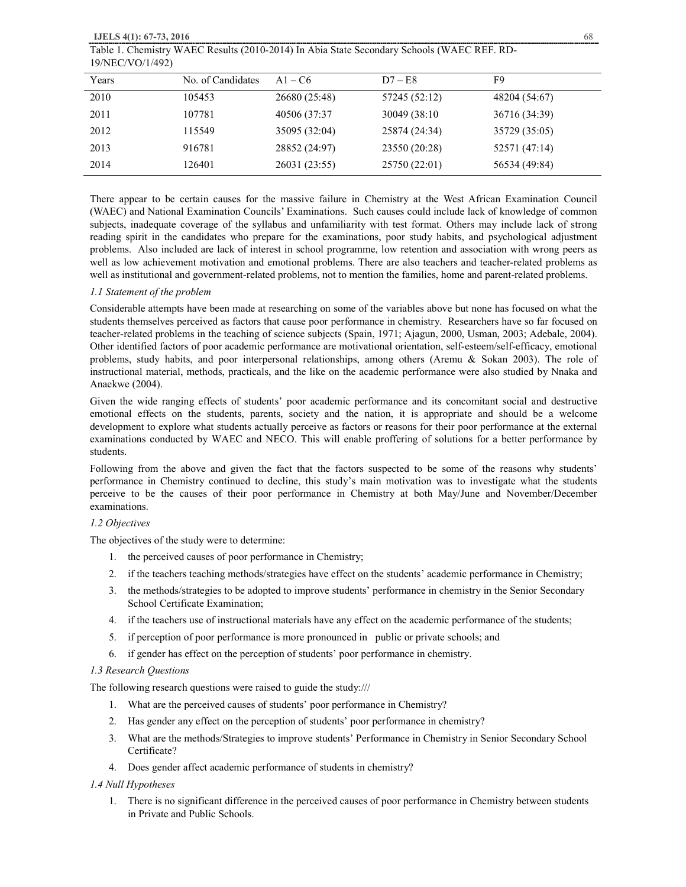Table 1. Chemistry WAEC Results (2010-2014) In Abia State Secondary Schools (WAEC REF. RD-19/NEC/VO/1/492)

| Years | No. of Candidates | $A1 - C6$     | $D7 - E8$     | F9            |
|-------|-------------------|---------------|---------------|---------------|
| 2010  | 105453            | 26680 (25:48) | 57245 (52:12) | 48204 (54:67) |
| 2011  | 107781            | 40506 (37:37) | 30049 (38:10) | 36716 (34:39) |
| 2012  | 115549            | 35095 (32:04) | 25874 (24:34) | 35729 (35:05) |
| 2013  | 916781            | 28852 (24:97) | 23550 (20:28) | 52571 (47:14) |
| 2014  | 126401            | 26031 (23:55) | 25750 (22:01) | 56534 (49:84) |

There appear to be certain causes for the massive failure in Chemistry at the West African Examination Council (WAEC) and National Examination Councils' Examinations. Such causes could include lack of knowledge of common subjects, inadequate coverage of the syllabus and unfamiliarity with test format. Others may include lack of strong reading spirit in the candidates who prepare for the examinations, poor study habits, and psychological adjustment problems. Also included are lack of interest in school programme, low retention and association with wrong peers as well as low achievement motivation and emotional problems. There are also teachers and teacher-related problems as well as institutional and government-related problems, not to mention the families, home and parent-related problems.

### *1.1 Statement of the problem*

Considerable attempts have been made at researching on some of the variables above but none has focused on what the students themselves perceived as factors that cause poor performance in chemistry. Researchers have so far focused on teacher-related problems in the teaching of science subjects (Spain, 1971; Ajagun, 2000, Usman, 2003; Adebale, 2004). Other identified factors of poor academic performance are motivational orientation, self-esteem/self-efficacy, emotional problems, study habits, and poor interpersonal relationships, among others (Aremu & Sokan 2003). The role of instructional material, methods, practicals, and the like on the academic performance were also studied by Nnaka and Anaekwe (2004).

Given the wide ranging effects of students' poor academic performance and its concomitant social and destructive emotional effects on the students, parents, society and the nation, it is appropriate and should be a welcome development to explore what students actually perceive as factors or reasons for their poor performance at the external examinations conducted by WAEC and NECO. This will enable proffering of solutions for a better performance by students.

Following from the above and given the fact that the factors suspected to be some of the reasons why students' performance in Chemistry continued to decline, this study's main motivation was to investigate what the students perceive to be the causes of their poor performance in Chemistry at both May/June and November/December examinations.

# *1.2 Objectives*

The objectives of the study were to determine:

- 1. the perceived causes of poor performance in Chemistry;
- 2. if the teachers teaching methods/strategies have effect on the students' academic performance in Chemistry;
- 3. the methods/strategies to be adopted to improve students' performance in chemistry in the Senior Secondary School Certificate Examination;
- 4. if the teachers use of instructional materials have any effect on the academic performance of the students;
- 5. if perception of poor performance is more pronounced in public or private schools; and
- 6. if gender has effect on the perception of students' poor performance in chemistry.

#### *1.3 Research Questions*

The following research questions were raised to guide the study:///

- 1. What are the perceived causes of students' poor performance in Chemistry?
- 2. Has gender any effect on the perception of students' poor performance in chemistry?
- 3. What are the methods/Strategies to improve students' Performance in Chemistry in Senior Secondary School Certificate?
- 4. Does gender affect academic performance of students in chemistry?

### *1.4 Null Hypotheses*

1. There is no significant difference in the perceived causes of poor performance in Chemistry between students in Private and Public Schools.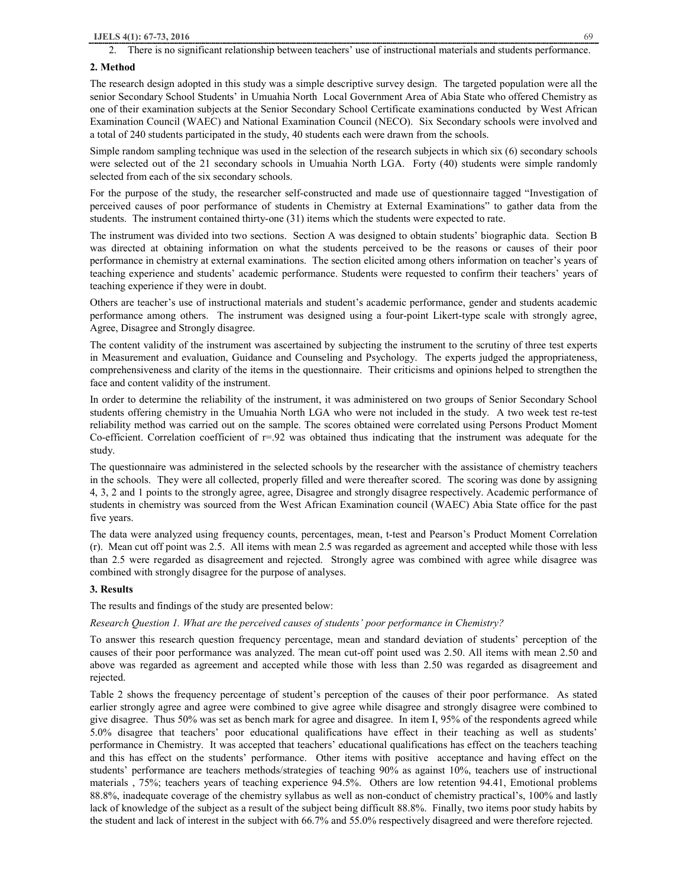#### **2. Method**

The research design adopted in this study was a simple descriptive survey design. The targeted population were all the senior Secondary School Students' in Umuahia North Local Government Area of Abia State who offered Chemistry as one of their examination subjects at the Senior Secondary School Certificate examinations conducted by West African Examination Council (WAEC) and National Examination Council (NECO). Six Secondary schools were involved and a total of 240 students participated in the study, 40 students each were drawn from the schools.

Simple random sampling technique was used in the selection of the research subjects in which six (6) secondary schools were selected out of the 21 secondary schools in Umuahia North LGA. Forty (40) students were simple randomly selected from each of the six secondary schools.

For the purpose of the study, the researcher self-constructed and made use of questionnaire tagged "Investigation of perceived causes of poor performance of students in Chemistry at External Examinations" to gather data from the students. The instrument contained thirty-one (31) items which the students were expected to rate.

The instrument was divided into two sections. Section A was designed to obtain students' biographic data. Section B was directed at obtaining information on what the students perceived to be the reasons or causes of their poor performance in chemistry at external examinations. The section elicited among others information on teacher's years of teaching experience and students' academic performance. Students were requested to confirm their teachers' years of teaching experience if they were in doubt.

Others are teacher's use of instructional materials and student's academic performance, gender and students academic performance among others. The instrument was designed using a four-point Likert-type scale with strongly agree, Agree, Disagree and Strongly disagree.

The content validity of the instrument was ascertained by subjecting the instrument to the scrutiny of three test experts in Measurement and evaluation, Guidance and Counseling and Psychology. The experts judged the appropriateness, comprehensiveness and clarity of the items in the questionnaire. Their criticisms and opinions helped to strengthen the face and content validity of the instrument.

In order to determine the reliability of the instrument, it was administered on two groups of Senior Secondary School students offering chemistry in the Umuahia North LGA who were not included in the study. A two week test re-test reliability method was carried out on the sample. The scores obtained were correlated using Persons Product Moment Co-efficient. Correlation coefficient of r=.92 was obtained thus indicating that the instrument was adequate for the study.

The questionnaire was administered in the selected schools by the researcher with the assistance of chemistry teachers in the schools. They were all collected, properly filled and were thereafter scored. The scoring was done by assigning 4, 3, 2 and 1 points to the strongly agree, agree, Disagree and strongly disagree respectively. Academic performance of students in chemistry was sourced from the West African Examination council (WAEC) Abia State office for the past five years.

The data were analyzed using frequency counts, percentages, mean, t-test and Pearson's Product Moment Correlation (r). Mean cut off point was 2.5. All items with mean 2.5 was regarded as agreement and accepted while those with less than 2.5 were regarded as disagreement and rejected. Strongly agree was combined with agree while disagree was combined with strongly disagree for the purpose of analyses.

# **3. Results**

The results and findings of the study are presented below:

*Research Question 1. What are the perceived causes of students' poor performance in Chemistry?* 

To answer this research question frequency percentage, mean and standard deviation of students' perception of the causes of their poor performance was analyzed. The mean cut-off point used was 2.50. All items with mean 2.50 and above was regarded as agreement and accepted while those with less than 2.50 was regarded as disagreement and rejected.

Table 2 shows the frequency percentage of student's perception of the causes of their poor performance. As stated earlier strongly agree and agree were combined to give agree while disagree and strongly disagree were combined to give disagree. Thus 50% was set as bench mark for agree and disagree. In item I, 95% of the respondents agreed while 5.0% disagree that teachers' poor educational qualifications have effect in their teaching as well as students' performance in Chemistry. It was accepted that teachers' educational qualifications has effect on the teachers teaching and this has effect on the students' performance. Other items with positive acceptance and having effect on the students' performance are teachers methods/strategies of teaching 90% as against 10%, teachers use of instructional materials , 75%; teachers years of teaching experience 94.5%. Others are low retention 94.41, Emotional problems 88.8%, inadequate coverage of the chemistry syllabus as well as non-conduct of chemistry practical's, 100% and lastly lack of knowledge of the subject as a result of the subject being difficult 88.8%. Finally, two items poor study habits by the student and lack of interest in the subject with 66.7% and 55.0% respectively disagreed and were therefore rejected.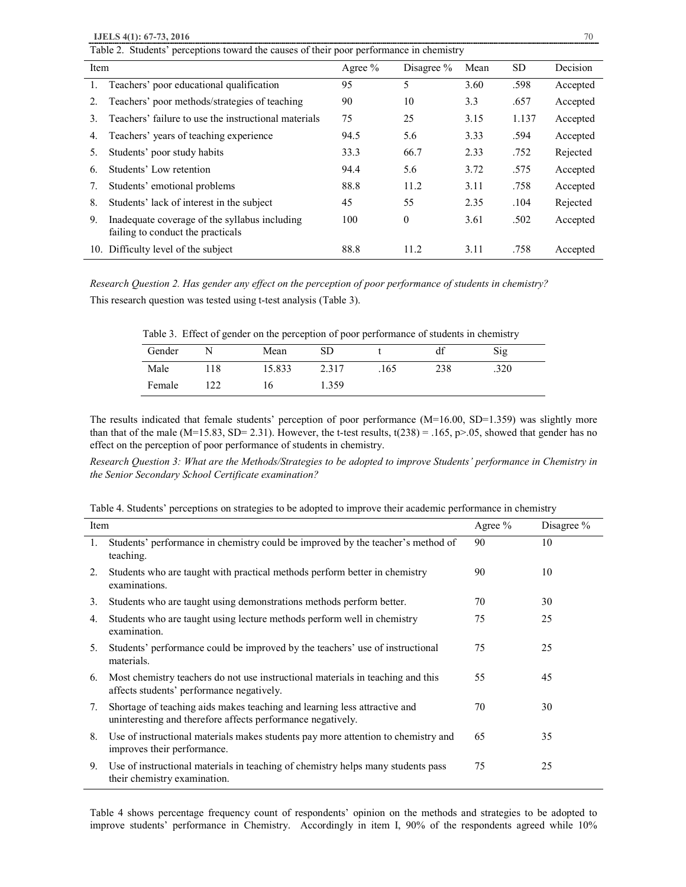**IJELS 4(1): 67-73, 2016** 70

|      | Table 2. Students' perceptions toward the causes of their poor performance in chemistry |           |              |      |           |          |  |  |  |
|------|-----------------------------------------------------------------------------------------|-----------|--------------|------|-----------|----------|--|--|--|
| Item |                                                                                         | Agree $%$ | Disagree $%$ | Mean | <b>SD</b> | Decision |  |  |  |
| 1.   | Teachers' poor educational qualification                                                | 95        | 5            | 3.60 | .598      | Accepted |  |  |  |
| 2.   | Teachers' poor methods/strategies of teaching                                           | 90        | 10           | 3.3  | .657      | Accepted |  |  |  |
| 3.   | Teachers' failure to use the instructional materials                                    | 75        | 25           | 3.15 | 1.137     | Accepted |  |  |  |
| 4.   | Teachers' years of teaching experience                                                  | 94.5      | 5.6          | 3.33 | .594      | Accepted |  |  |  |
| 5.   | Students' poor study habits                                                             | 33.3      | 66.7         | 2.33 | .752      | Rejected |  |  |  |
| 6.   | Students' Low retention                                                                 | 94.4      | 5.6          | 3.72 | .575      | Accepted |  |  |  |
| 7.   | Students' emotional problems                                                            | 88.8      | 11.2         | 3.11 | .758      | Accepted |  |  |  |
| 8.   | Students' lack of interest in the subject                                               | 45        | 55           | 2.35 | .104      | Rejected |  |  |  |
| 9.   | Inadequate coverage of the syllabus including<br>failing to conduct the practicals      | 100       | $\mathbf{0}$ | 3.61 | .502      | Accepted |  |  |  |
|      | 10. Difficulty level of the subject                                                     | 88.8      | 11.2         | 3.11 | .758      | Accepted |  |  |  |

*Research Question 2. Has gender any effect on the perception of poor performance of students in chemistry?*

This research question was tested using t-test analysis (Table 3).

Table 3. Effect of gender on the perception of poor performance of students in chemistry

| Gender |      | Mean   | SD    |      | $\sim$<br>αI | Sig  |
|--------|------|--------|-------|------|--------------|------|
| Male   | l 18 | 15.833 | 2.317 | .165 | 238          | .320 |
| Female |      | l 6    | 1.359 |      |              |      |

The results indicated that female students' perception of poor performance  $(M=16.00, SD=1.359)$  was slightly more than that of the male (M=15.83, SD= 2.31). However, the t-test results,  $t(238) = .165$ ,  $p>0.05$ , showed that gender has no effect on the perception of poor performance of students in chemistry.

*Research Question 3: What are the Methods/Strategies to be adopted to improve Students' performance in Chemistry in the Senior Secondary School Certificate examination?* 

| Table 4. Students' perceptions on strategies to be adopted to improve their academic performance in chemistry |  |  |  |  |
|---------------------------------------------------------------------------------------------------------------|--|--|--|--|
|                                                                                                               |  |  |  |  |

| Item |                                                                                                                                          | Agree $%$ | Disagree % |
|------|------------------------------------------------------------------------------------------------------------------------------------------|-----------|------------|
| 1.   | Students' performance in chemistry could be improved by the teacher's method of<br>teaching.                                             | 90        | 10         |
| 2.   | Students who are taught with practical methods perform better in chemistry<br>examinations.                                              | 90        | 10         |
| 3.   | Students who are taught using demonstrations methods perform better.                                                                     | 70        | 30         |
| 4.   | Students who are taught using lecture methods perform well in chemistry<br>examination.                                                  | 75        | 25         |
| 5.   | Students' performance could be improved by the teachers' use of instructional<br>materials.                                              | 75        | 25         |
| 6.   | Most chemistry teachers do not use instructional materials in teaching and this<br>affects students' performance negatively.             | 55        | 45         |
| 7.   | Shortage of teaching aids makes teaching and learning less attractive and<br>uninteresting and therefore affects performance negatively. | 70        | 30         |
| 8.   | Use of instructional materials makes students pay more attention to chemistry and<br>improves their performance.                         | 65        | 35         |
| 9.   | Use of instructional materials in teaching of chemistry helps many students pass<br>their chemistry examination.                         | 75        | 25         |

Table 4 shows percentage frequency count of respondents' opinion on the methods and strategies to be adopted to improve students' performance in Chemistry. Accordingly in item I, 90% of the respondents agreed while 10%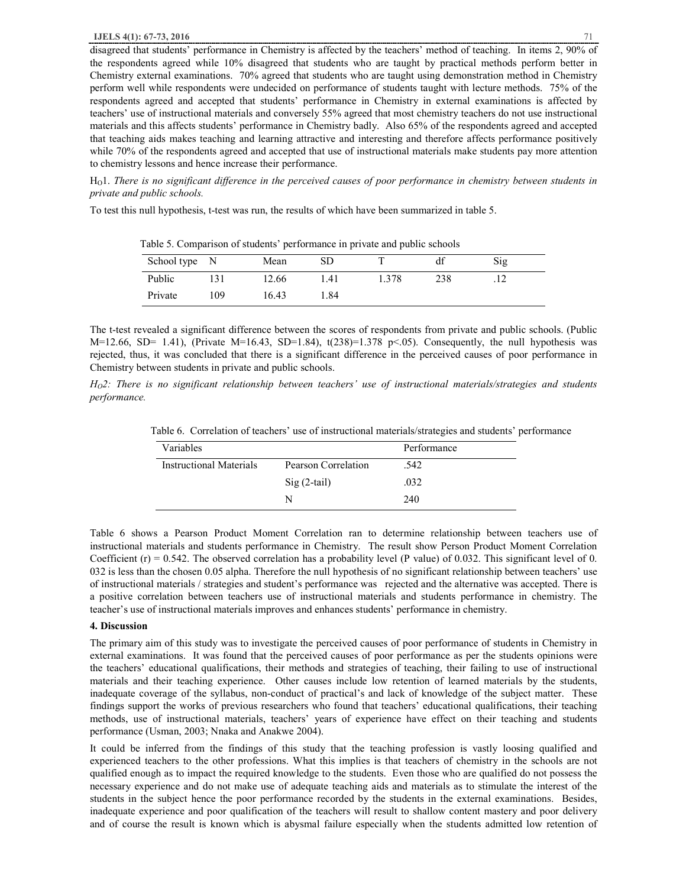disagreed that students' performance in Chemistry is affected by the teachers' method of teaching. In items 2, 90% of the respondents agreed while 10% disagreed that students who are taught by practical methods perform better in Chemistry external examinations. 70% agreed that students who are taught using demonstration method in Chemistry perform well while respondents were undecided on performance of students taught with lecture methods. 75% of the respondents agreed and accepted that students' performance in Chemistry in external examinations is affected by teachers' use of instructional materials and conversely 55% agreed that most chemistry teachers do not use instructional materials and this affects students' performance in Chemistry badly. Also 65% of the respondents agreed and accepted that teaching aids makes teaching and learning attractive and interesting and therefore affects performance positively while 70% of the respondents agreed and accepted that use of instructional materials make students pay more attention to chemistry lessons and hence increase their performance.

H<sub>0</sub>1. There is no significant difference in the perceived causes of poor performance in chemistry between students in *private and public schools.*

To test this null hypothesis, t-test was run, the results of which have been summarized in table 5.

| School type N |     | Mean  |        | $\overline{\phantom{a}}$ |     | Sig |  |
|---------------|-----|-------|--------|--------------------------|-----|-----|--|
| Public        |     | 12.66 | .41    | 1.378                    | 238 | .   |  |
| Private       | 109 | 16.43 | . . 84 |                          |     |     |  |

Table 5. Comparison of students' performance in private and public schools

The t-test revealed a significant difference between the scores of respondents from private and public schools. (Public M=12.66, SD= 1.41), (Private M=16.43, SD=1.84),  $t(238)=1.378$  p<.05). Consequently, the null hypothesis was rejected, thus, it was concluded that there is a significant difference in the perceived causes of poor performance in Chemistry between students in private and public schools.

 $H<sub>0</sub>2$ : There is no significant relationship between teachers' use of instructional materials/strategies and students *performance.* 

Table 6. Correlation of teachers' use of instructional materials/strategies and students' performance

| Variables               |                     | Performance |  |
|-------------------------|---------------------|-------------|--|
| Instructional Materials | Pearson Correlation | .542        |  |
|                         | $Sig(2-tail)$       | .032        |  |
|                         |                     | 240         |  |

Table 6 shows a Pearson Product Moment Correlation ran to determine relationship between teachers use of instructional materials and students performance in Chemistry. The result show Person Product Moment Correlation Coefficient  $(r) = 0.542$ . The observed correlation has a probability level (P value) of 0.032. This significant level of 0. 032 is less than the chosen 0.05 alpha. Therefore the null hypothesis of no significant relationship between teachers' use of instructional materials / strategies and student's performance was rejected and the alternative was accepted. There is a positive correlation between teachers use of instructional materials and students performance in chemistry. The teacher's use of instructional materials improves and enhances students' performance in chemistry.

# **4. Discussion**

The primary aim of this study was to investigate the perceived causes of poor performance of students in Chemistry in external examinations. It was found that the perceived causes of poor performance as per the students opinions were the teachers' educational qualifications, their methods and strategies of teaching, their failing to use of instructional materials and their teaching experience. Other causes include low retention of learned materials by the students, inadequate coverage of the syllabus, non-conduct of practical's and lack of knowledge of the subject matter. These findings support the works of previous researchers who found that teachers' educational qualifications, their teaching methods, use of instructional materials, teachers' years of experience have effect on their teaching and students performance (Usman, 2003; Nnaka and Anakwe 2004).

It could be inferred from the findings of this study that the teaching profession is vastly loosing qualified and experienced teachers to the other professions. What this implies is that teachers of chemistry in the schools are not qualified enough as to impact the required knowledge to the students. Even those who are qualified do not possess the necessary experience and do not make use of adequate teaching aids and materials as to stimulate the interest of the students in the subject hence the poor performance recorded by the students in the external examinations. Besides, inadequate experience and poor qualification of the teachers will result to shallow content mastery and poor delivery and of course the result is known which is abysmal failure especially when the students admitted low retention of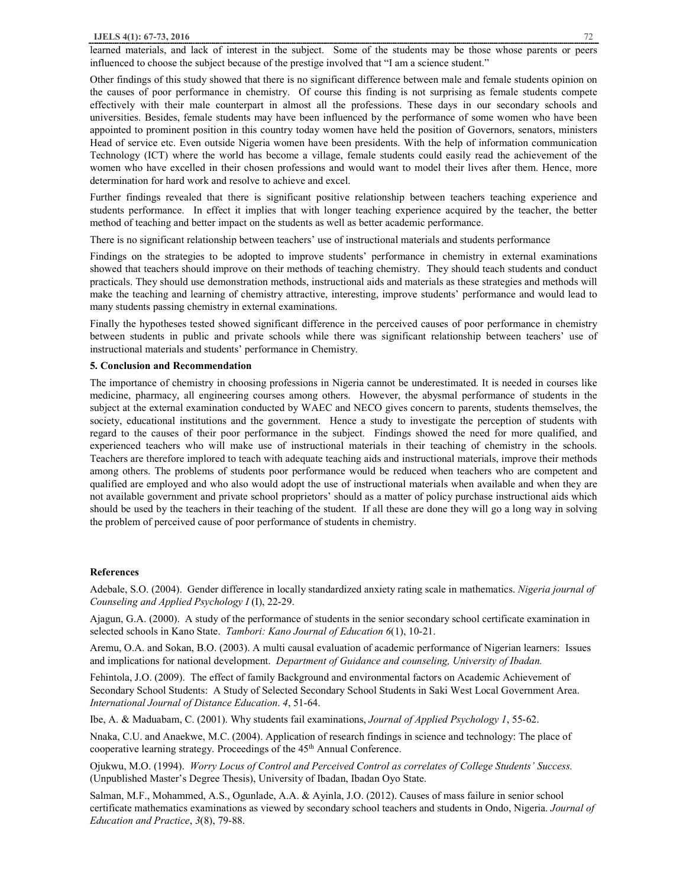learned materials, and lack of interest in the subject. Some of the students may be those whose parents or peers influenced to choose the subject because of the prestige involved that "I am a science student."

Other findings of this study showed that there is no significant difference between male and female students opinion on the causes of poor performance in chemistry. Of course this finding is not surprising as female students compete effectively with their male counterpart in almost all the professions. These days in our secondary schools and universities. Besides, female students may have been influenced by the performance of some women who have been appointed to prominent position in this country today women have held the position of Governors, senators, ministers Head of service etc. Even outside Nigeria women have been presidents. With the help of information communication Technology (ICT) where the world has become a village, female students could easily read the achievement of the women who have excelled in their chosen professions and would want to model their lives after them. Hence, more determination for hard work and resolve to achieve and excel.

Further findings revealed that there is significant positive relationship between teachers teaching experience and students performance. In effect it implies that with longer teaching experience acquired by the teacher, the better method of teaching and better impact on the students as well as better academic performance.

There is no significant relationship between teachers' use of instructional materials and students performance

Findings on the strategies to be adopted to improve students' performance in chemistry in external examinations showed that teachers should improve on their methods of teaching chemistry. They should teach students and conduct practicals. They should use demonstration methods, instructional aids and materials as these strategies and methods will make the teaching and learning of chemistry attractive, interesting, improve students' performance and would lead to many students passing chemistry in external examinations.

Finally the hypotheses tested showed significant difference in the perceived causes of poor performance in chemistry between students in public and private schools while there was significant relationship between teachers' use of instructional materials and students' performance in Chemistry.

#### **5. Conclusion and Recommendation**

The importance of chemistry in choosing professions in Nigeria cannot be underestimated. It is needed in courses like medicine, pharmacy, all engineering courses among others. However, the abysmal performance of students in the subject at the external examination conducted by WAEC and NECO gives concern to parents, students themselves, the society, educational institutions and the government. Hence a study to investigate the perception of students with regard to the causes of their poor performance in the subject. Findings showed the need for more qualified, and experienced teachers who will make use of instructional materials in their teaching of chemistry in the schools. Teachers are therefore implored to teach with adequate teaching aids and instructional materials, improve their methods among others. The problems of students poor performance would be reduced when teachers who are competent and qualified are employed and who also would adopt the use of instructional materials when available and when they are not available government and private school proprietors' should as a matter of policy purchase instructional aids which should be used by the teachers in their teaching of the student. If all these are done they will go a long way in solving the problem of perceived cause of poor performance of students in chemistry.

#### **References**

Adebale, S.O. (2004). Gender difference in locally standardized anxiety rating scale in mathematics. *Nigeria journal of Counseling and Applied Psychology I* (I), 22-29.

Ajagun, G.A. (2000). A study of the performance of students in the senior secondary school certificate examination in selected schools in Kano State. *Tambori: Kano Journal of Education 6*(1), 10-21.

Aremu, O.A. and Sokan, B.O. (2003). A multi causal evaluation of academic performance of Nigerian learners: Issues and implications for national development. *Department of Guidance and counseling, University of Ibadan.* 

Fehintola, J.O. (2009). The effect of family Background and environmental factors on Academic Achievement of Secondary School Students: A Study of Selected Secondary School Students in Saki West Local Government Area. *International Journal of Distance Education*. *4*, 51-64.

Ibe, A. & Maduabam, C. (2001). Why students fail examinations, *Journal of Applied Psychology 1*, 55-62.

Nnaka, C.U. and Anaekwe, M.C. (2004). Application of research findings in science and technology: The place of cooperative learning strategy. Proceedings of the 45<sup>th</sup> Annual Conference.

Ojukwu, M.O. (1994). *Worry Locus of Control and Perceived Control as correlates of College Students' Success.* (Unpublished Master's Degree Thesis), University of Ibadan, Ibadan Oyo State.

Salman, M.F., Mohammed, A.S., Ogunlade, A.A. & Ayinla, J.O. (2012). Causes of mass failure in senior school certificate mathematics examinations as viewed by secondary school teachers and students in Ondo, Nigeria. *Journal of Education and Practice*, *3*(8), 79-88.